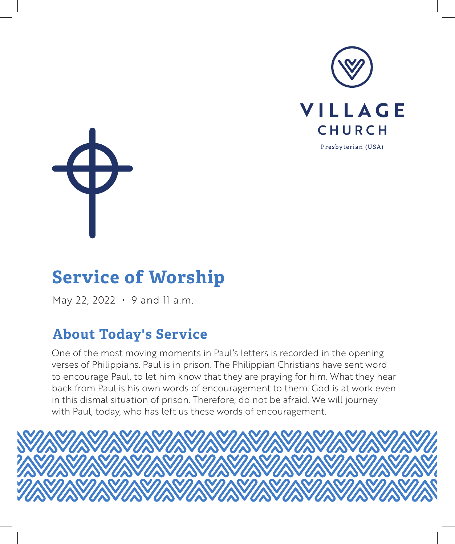



# **Service of Worship**

May 22, 2022  $\cdot$  9 and 11 a.m.

## **About Today's Service**

One of the most moving moments in Paul's letters is recorded in the opening verses of Philippians. Paul is in prison. The Philippian Christians have sent word to encourage Paul, to let him know that they are praying for him. What they hear back from Paul is his own words of encouragement to them: God is at work even in this dismal situation of prison. Therefore, do not be afraid. We will journey with Paul, today, who has left us these words of encouragement.

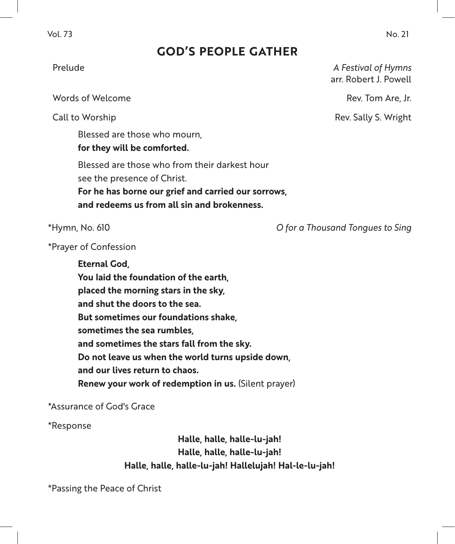## **GOD'S PEOPLE GATHER**

Words of Welcome **Rev. Tom Are, Inc. 2016** Words of Welcome Rev. Tom Are, Jr.

Blessed are those who mourn, **for they will be comforted.**

Blessed are those who from their darkest hour see the presence of Christ. **For he has borne our grief and carried our sorrows, and redeems us from all sin and brokenness.**

\*Hymn, No. 610 *O for a Thousand Tongues to Sing*

\*Prayer of Confession

**Eternal God, You laid the foundation of the earth, placed the morning stars in the sky, and shut the doors to the sea. But sometimes our foundations shake, sometimes the sea rumbles, and sometimes the stars fall from the sky. Do not leave us when the world turns upside down, and our lives return to chaos. Renew your work of redemption in us.** (Silent prayer)

\*Assurance of God's Grace

\*Response

**Halle, halle, halle-lu-jah! Halle, halle, halle-lu-jah! Halle, halle, halle-lu-jah! Hallelujah! Hal-le-lu-jah!**

\*Passing the Peace of Christ

 Prelude *A Festival of Hymns* arr. Robert J. Powell

Call to Worship **Rev. Sally S. Wright** Call to Worship **Rev. Sally S. Wright**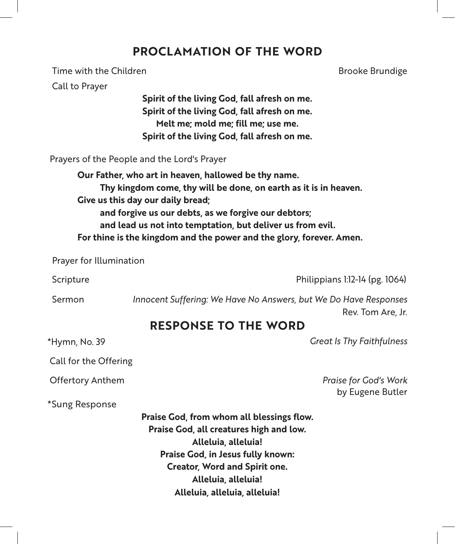## **PROCLAMATION OF THE WORD**

Time with the Children Brooke Brundige Energy and Brooke Brundige Brooke Brundige

Call to Prayer

**Spirit of the living God, fall afresh on me. Spirit of the living God, fall afresh on me. Melt me; mold me; fill me; use me. Spirit of the living God, fall afresh on me.**

Prayers of the People and the Lord's Prayer

**Our Father, who art in heaven, hallowed be thy name. Thy kingdom come, thy will be done, on earth as it is in heaven. Give us this day our daily bread; and forgive us our debts, as we forgive our debtors; and lead us not into temptation, but deliver us from evil. For thine is the kingdom and the power and the glory, forever. Amen.**

Prayer for Illumination

Scripture **Philippians 1:12-14 (pg. 1064)** 

 Sermon *Innocent Suffering: We Have No Answers, but We Do Have Responses* Rev. Tom Are, Jr.

## **RESPONSE TO THE WORD**

\*Hymn, No. 39 *Great Is Thy Faithfulness*

Call for the Offering

 Offertory Anthem *Praise for God's Work* by Eugene Butler

\*Sung Response

**Praise God, from whom all blessings flow. Praise God, all creatures high and low. Alleluia, alleluia! Praise God, in Jesus fully known: Creator, Word and Spirit one. Alleluia, alleluia! Alleluia, alleluia, alleluia!**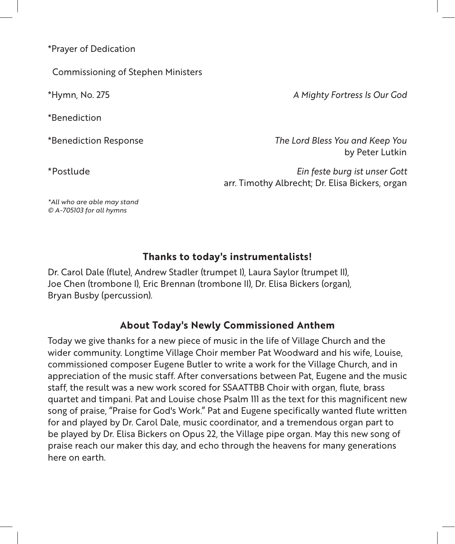\*Prayer of Dedication

Commissioning of Stephen Ministers

\*Benediction

\*Hymn, No. 275 *A Mighty Fortress Is Our God*

\*Benediction Response *The Lord Bless You and Keep You* by Peter Lutkin

\*Postlude *Ein feste burg ist unser Gott* arr. Timothy Albrecht; Dr. Elisa Bickers, organ

*\*All who are able may stand © A-705103 for all hymns*

#### **Thanks to today's instrumentalists!**

Dr. Carol Dale (flute), Andrew Stadler (trumpet I), Laura Saylor (trumpet II), Joe Chen (trombone I), Eric Brennan (trombone II), Dr. Elisa Bickers (organ), Bryan Busby (percussion).

#### **About Today's Newly Commissioned Anthem**

Today we give thanks for a new piece of music in the life of Village Church and the wider community. Longtime Village Choir member Pat Woodward and his wife, Louise, commissioned composer Eugene Butler to write a work for the Village Church, and in appreciation of the music staff. After conversations between Pat, Eugene and the music staff, the result was a new work scored for SSAATTBB Choir with organ, flute, brass quartet and timpani. Pat and Louise chose Psalm 111 as the text for this magnificent new song of praise, "Praise for God's Work." Pat and Eugene specifically wanted flute written for and played by Dr. Carol Dale, music coordinator, and a tremendous organ part to be played by Dr. Elisa Bickers on Opus 22, the Village pipe organ. May this new song of praise reach our maker this day, and echo through the heavens for many generations here on earth.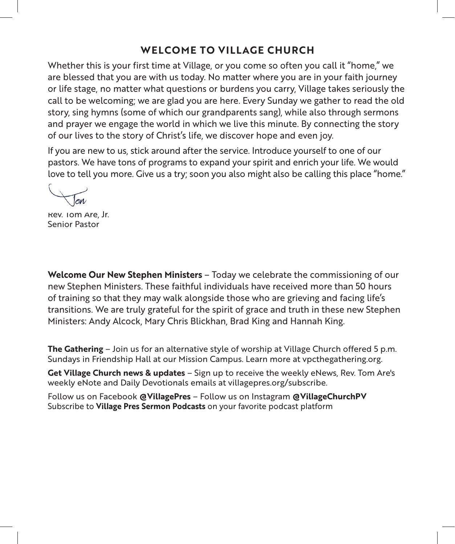## **WELCOME TO VILLAGE CHURCH**

Whether this is your first time at Village, or you come so often you call it "home," we are blessed that you are with us today. No matter where you are in your faith journey or life stage, no matter what questions or burdens you carry, Village takes seriously the call to be welcoming; we are glad you are here. Every Sunday we gather to read the old story, sing hymns (some of which our grandparents sang), while also through sermons and prayer we engage the world in which we live this minute. By connecting the story of our lives to the story of Christ's life, we discover hope and even joy.

If you are new to us, stick around after the service. Introduce yourself to one of our pastors. We have tons of programs to expand your spirit and enrich your life. We would love to tell you more. Give us a try; soon you also might also be calling this place "home."

Rev. Tom Are, Jr. Senior Pastor

**Welcome Our New Stephen Ministers** – Today we celebrate the commissioning of our new Stephen Ministers. These faithful individuals have received more than 50 hours of training so that they may walk alongside those who are grieving and facing life's transitions. We are truly grateful for the spirit of grace and truth in these new Stephen Ministers: Andy Alcock, Mary Chris Blickhan, Brad King and Hannah King.

**The Gathering** – Join us for an alternative style of worship at Village Church offered 5 p.m. Sundays in Friendship Hall at our Mission Campus. Learn more at vpcthegathering.org.

**Get Village Church news & updates** – Sign up to receive the weekly eNews, Rev. Tom Are's weekly eNote and Daily Devotionals emails at villagepres.org/subscribe.

Follow us on Facebook **@VillagePres** – Follow us on Instagram **@VillageChurchPV**  Subscribe to **Village Pres Sermon Podcasts** on your favorite podcast platform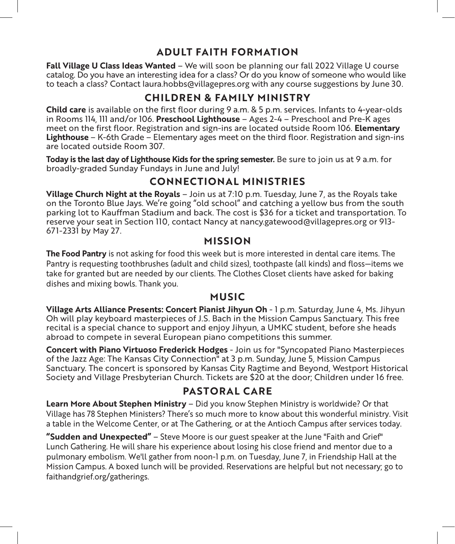## **ADULT FAITH FORMATION**

**Fall Village U Class Ideas Wanted** – We will soon be planning our fall 2022 Village U course catalog. Do you have an interesting idea for a class? Or do you know of someone who would like to teach a class? Contact laura.hobbs@villagepres.org with any course suggestions by June 30.

### **CHILDREN & FAMILY MINISTRY**

**Child care** is available on the first floor during 9 a.m. & 5 p.m. services. Infants to 4-year-olds in Rooms 114, 111 and/or 106. **Preschool Lighthouse** – Ages 2-4 – Preschool and Pre-K ages meet on the first floor. Registration and sign-ins are located outside Room 106. **Elementary Lighthouse** – K-6th Grade – Elementary ages meet on the third floor. Registration and sign-ins are located outside Room 307.

**Today is the last day of Lighthouse Kids for the spring semester.** Be sure to join us at 9 a.m. for broadly-graded Sunday Fundays in June and July!

## **CONNECTIONAL MINISTRIES**

**Village Church Night at the Royals** – Join us at 7:10 p.m. Tuesday, June 7, as the Royals take on the Toronto Blue Jays. We're going "old school" and catching a yellow bus from the south parking lot to Kauffman Stadium and back. The cost is \$36 for a ticket and transportation. To reserve your seat in Section 110, contact Nancy at nancy.gatewood@villagepres.org or 913- 671-2331 by May 27.

#### **MISSION**

**The Food Pantry** is not asking for food this week but is more interested in dental care items. The Pantry is requesting toothbrushes (adult and child sizes), toothpaste (all kinds) and floss—items we take for granted but are needed by our clients. The Clothes Closet clients have asked for baking dishes and mixing bowls. Thank you.

#### **MUSIC**

**Village Arts Alliance Presents: Concert Pianist Jihyun Oh** - 1 p.m. Saturday, June 4, Ms. Jihyun Oh will play keyboard masterpieces of J.S. Bach in the Mission Campus Sanctuary. This free recital is a special chance to support and enjoy Jihyun, a UMKC student, before she heads abroad to compete in several European piano competitions this summer.

**Concert with Piano Virtuoso Frederick Hodges** - Join us for "Syncopated Piano Masterpieces of the Jazz Age: The Kansas City Connection" at 3 p.m. Sunday, June 5, Mission Campus Sanctuary. The concert is sponsored by Kansas City Ragtime and Beyond, Westport Historical Society and Village Presbyterian Church. Tickets are \$20 at the door; Children under 16 free.

#### **PASTORAL CARE**

**Learn More About Stephen Ministry** – Did you know Stephen Ministry is worldwide? Or that Village has 78 Stephen Ministers? There's so much more to know about this wonderful ministry. Visit a table in the Welcome Center, or at The Gathering, or at the Antioch Campus after services today.

**"Sudden and Unexpected"** – Steve Moore is our guest speaker at the June "Faith and Grief" Lunch Gathering. He will share his experience about losing his close friend and mentor due to a pulmonary embolism. We'll gather from noon-1 p.m. on Tuesday, June 7, in Friendship Hall at the Mission Campus. A boxed lunch will be provided. Reservations are helpful but not necessary; go to faithandgrief.org/gatherings.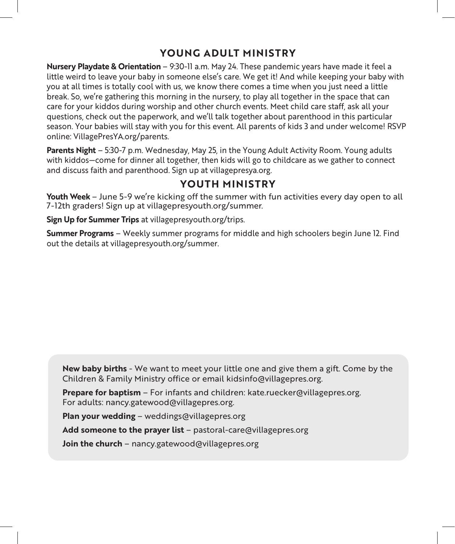## **YOUNG ADULT MINISTRY**

**Nursery Playdate & Orientation** – 9:30-11 a.m. May 24. These pandemic years have made it feel a little weird to leave your baby in someone else's care. We get it! And while keeping your baby with you at all times is totally cool with us, we know there comes a time when you just need a little break. So, we're gathering this morning in the nursery, to play all together in the space that can care for your kiddos during worship and other church events. Meet child care staff, ask all your questions, check out the paperwork, and we'll talk together about parenthood in this particular season. Your babies will stay with you for this event. All parents of kids 3 and under welcome! RSVP online: VillagePresYA.org/parents.

Parents Night - 5:30-7 p.m. Wednesday, May 25, in the Young Adult Activity Room. Young adults with kiddos—come for dinner all together, then kids will go to childcare as we gather to connect and discuss faith and parenthood. Sign up at villagepresya.org.

## **YOUTH MINISTRY**

**Youth Week** – June 5-9 we're kicking off the summer with fun activities every day open to all 7-12th graders! Sign up at villagepresyouth.org/summer.

**Sign Up for Summer Trips** at villagepresyouth.org/trips.

**Summer Programs** – Weekly summer programs for middle and high schoolers begin June 12. Find out the details at villagepresyouth.org/summer.

**New baby births** - We want to meet your little one and give them a gift. Come by the Children & Family Ministry office or email kidsinfo@villagepres.org.

**Prepare for baptism** – For infants and children: kate.ruecker@villagepres.org. For adults: nancy.gatewood@villagepres.org.

**Plan your wedding** – weddings@villagepres.org

Add someone to the prayer list - pastoral-care@villagepres.org

**Join the church** – nancy.gatewood@villagepres.org